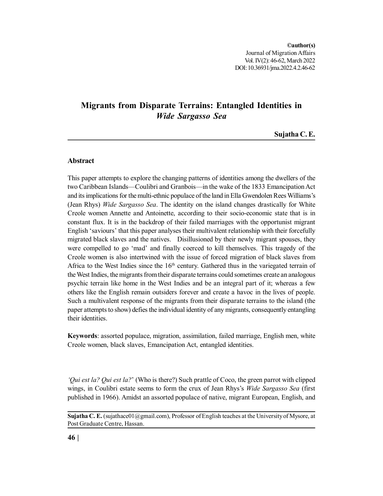# **Migrants from Disparate Terrains: Entangled Identities in** *Wide Sargasso Sea*

**Sujatha C. E.**

# **Abstract**

This paper attempts to explore the changing patterns of identities among the dwellers of the two Caribbean Islands—Coulibri and Granbois—in the wake of the 1833 Emancipation Act and its implications for the multi-ethnic populace of the land in Ella Gwendolen Rees Williams's (Jean Rhys) *Wide Sargasso Sea*. The identity on the island changes drastically for White Creole women Annette and Antoinette, according to their socio-economic state that is in constant flux. It is in the backdrop of their failed marriages with the opportunist migrant English 'saviours' that this paper analyses their multivalent relationship with their forcefully migrated black slaves and the natives. Disillusioned by their newly migrant spouses, they were compelled to go 'mad' and finally coerced to kill themselves. This tragedy of the Creole women is also intertwined with the issue of forced migration of black slaves from Africa to the West Indies since the  $16<sup>th</sup>$  century. Gathered thus in the variegated terrain of the West Indies, the migrants from their disparate terrains could sometimes create an analogous psychic terrain like home in the West Indies and be an integral part of it; whereas a few others like the English remain outsiders forever and create a havoc in the lives of people. Such a multivalent response of the migrants from their disparate terrains to the island (the paper attempts to show) defies the individual identity of any migrants, consequently entangling their identities.

**Keywords**: assorted populace, migration, assimilation, failed marriage, English men, white Creole women, black slaves, Emancipation Act, entangled identities.

*'Qui est la? Qui est la?*' (Who is there?) Such prattle of Coco, the green parrot with clipped wings, in Coulibri estate seems to form the crux of Jean Rhys's *Wide Sargasso Sea* (first published in 1966). Amidst an assorted populace of native, migrant European, English, and

**Sujatha C. E.** (sujathace01@gmail.com), Professor of English teaches at the University of Mysore, at Post Graduate Centre, Hassan.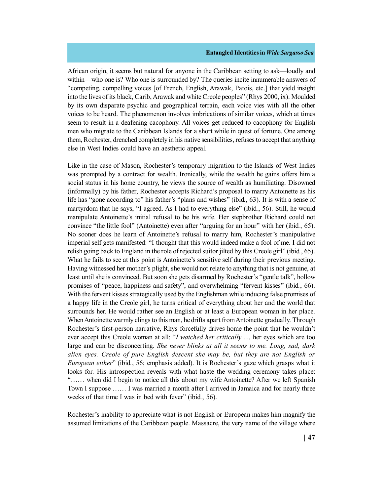African origin, it seems but natural for anyone in the Caribbean setting to ask—loudly and within—who one is? Who one is surrounded by? The queries incite innumerable answers of "competing, compelling voices [of French, English, Arawak, Patois, etc.] that yield insight into the lives of its black, Carib, Arawak and white Creole peoples" (Rhys 2000, ix). Moulded by its own disparate psychic and geographical terrain, each voice vies with all the other voices to be heard. The phenomenon involves imbrications of similar voices, which at times seem to result in a deafening cacophony. All voices get reduced to cacophony for English men who migrate to the Caribbean Islands for a short while in quest of fortune. One among them, Rochester, drenched completely in his native sensibilities, refuses to accept that anything else in West Indies could have an aesthetic appeal.

Like in the case of Mason, Rochester's temporary migration to the Islands of West Indies was prompted by a contract for wealth. Ironically, while the wealth he gains offers him a social status in his home country, he views the source of wealth as humiliating. Disowned (informally) by his father, Rochester accepts Richard's proposal to marry Antoinette as his life has "gone according to" his father's "plans and wishes" (ibid*.*, 63). It is with a sense of martyrdom that he says, "I agreed. As I had to everything else" (ibid*.*, 56). Still, he would manipulate Antoinette's initial refusal to be his wife. Her stepbrother Richard could not convince "the little fool" (Antoinette) even after "arguing for an hour" with her (ibid*.*, 65). No sooner does he learn of Antoinette's refusal to marry him, Rochester's manipulative imperial self gets manifested: "I thought that this would indeed make a fool of me. I did not relish going back to England in the role of rejected suitor jilted by this Creole girl" (ibid*.*, 65). What he fails to see at this point is Antoinette's sensitive self during their previous meeting. Having witnessed her mother's plight, she would not relate to anything that is not genuine, at least until she is convinced. But soon she gets disarmed by Rochester's "gentle talk", hollow promises of "peace, happiness and safety", and overwhelming "fervent kisses" (ibid*.*, 66). With the fervent kisses strategically used by the Englishman while inducing false promises of a happy life in the Creole girl, he turns critical of everything about her and the world that surrounds her. He would rather see an English or at least a European woman in her place. When Antoinette warmly clings to this man, he drifts apart from Antoinette gradually. Through Rochester's first-person narrative, Rhys forcefully drives home the point that he wouldn't ever accept this Creole woman at all: "*I watched her critically* … her eyes which are too large and can be disconcerting. *She never blinks at all it seems to me. Long, sad, dark alien eyes. Creole of pure English descent she may be, but they are not English or European either*" (ibid*.*, 56; emphasis added). It is Rochester's gaze which grasps what it looks for. His introspection reveals with what haste the wedding ceremony takes place: "…… when did I begin to notice all this about my wife Antoinette? After we left Spanish Town I suppose …… I was married a month after I arrived in Jamaica and for nearly three weeks of that time I was in bed with fever" (ibid*.*, 56).

Rochester's inability to appreciate what is not English or European makes him magnify the assumed limitations of the Caribbean people. Massacre, the very name of the village where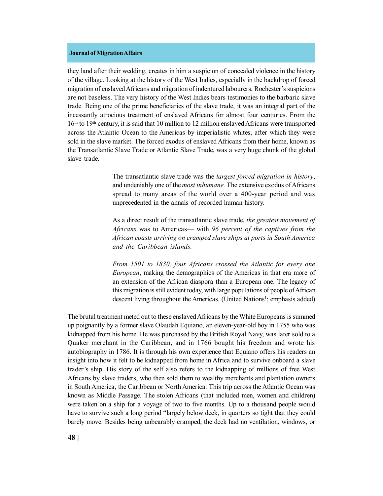they land after their wedding, creates in him a suspicion of concealed violence in the history of the village. Looking at the history of the West Indies, especially in the backdrop of forced migration of enslaved Africans and migration of indentured labourers, Rochester's suspicions are not baseless. The very history of the West Indies bears testimonies to the barbaric slave trade. Being one of the prime beneficiaries of the slave trade, it was an integral part of the incessantly atrocious treatment of enslaved Africans for almost four centuries. From the 16th to 19th century, it is said that 10 million to 12 million enslaved Africans were transported across the Atlantic Ocean to the Americas by imperialistic whites, after which they were sold in the slave market. The forced exodus of enslaved Africans from their home, known as the Transatlantic Slave Trade or Atlantic Slave Trade, was a very huge chunk of the global slave trade.

> The transatlantic slave trade was the *largest forced migration in history*, and undeniably one of the *most inhumane.* The extensive exodus of Africans spread to many areas of the world over a 400-year period and was unprecedented in the annals of recorded human history.

> As a direct result of the transatlantic slave trade, *the greatest movement of Africans* was to Americas— with *96 percent of the captives from the African coasts arriving on cramped slave ships at ports in South America and the Caribbean islands.*

> *From 1501 to 1830, four Africans crossed the Atlantic for every one European*, making the demographics of the Americas in that era more of an extension of the African diaspora than a European one. The legacy of this migration is still evident today, with large populations of people of African descent living throughout the Americas. (United Nations<sup>1</sup>; emphasis added)

The brutal treatment meted out to these enslaved Africans by the White Europeans is summed up poignantly by a former slave Olaudah Equiano, an eleven-year-old boy in 1755 who was kidnapped from his home. He was purchased by the British Royal Navy, was later sold to a Quaker merchant in the Caribbean, and in 1766 bought his freedom and wrote his autobiography in 1786. It is through his own experience that Equiano offers his readers an insight into how it felt to be kidnapped from home in Africa and to survive onboard a slave trader's ship. His story of the self also refers to the kidnapping of millions of free West Africans by slave traders, who then sold them to wealthy merchants and plantation owners in South America, the Caribbean or North America. This trip across the Atlantic Ocean was known as Middle Passage. The stolen Africans (that included men, women and children) were taken on a ship for a voyage of two to five months. Up to a thousand people would have to survive such a long period "largely below deck, in quarters so tight that they could barely move. Besides being unbearably cramped, the deck had no ventilation, windows, or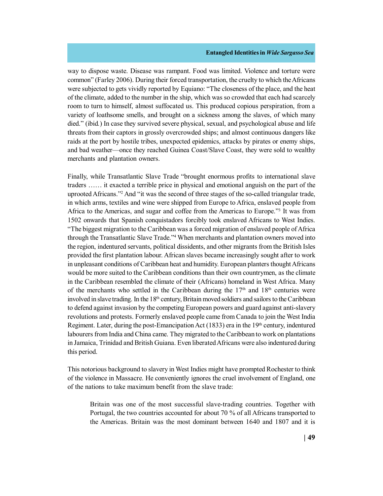way to dispose waste. Disease was rampant. Food was limited. Violence and torture were common" (Farley 2006). During their forced transportation, the cruelty to which the Africans were subjected to gets vividly reported by Equiano: "The closeness of the place, and the heat of the climate, added to the number in the ship, which was so crowded that each had scarcely room to turn to himself, almost suffocated us. This produced copious perspiration, from a variety of loathsome smells, and brought on a sickness among the slaves, of which many died." (ibid*.*) In case they survived severe physical, sexual, and psychological abuse and life threats from their captors in grossly overcrowded ships; and almost continuous dangers like raids at the port by hostile tribes, unexpected epidemics, attacks by pirates or enemy ships, and bad weather—once they reached Guinea Coast/Slave Coast, they were sold to wealthy merchants and plantation owners.

Finally, while Transatlantic Slave Trade "brought enormous profits to international slave traders …… it exacted a terrible price in physical and emotional anguish on the part of the uprooted Africans."<sup>2</sup> And "it was the second of three stages of the so-called triangular trade, in which arms, textiles and wine were shipped from Europe to Africa, enslaved people from Africa to the Americas, and sugar and coffee from the Americas to Europe."<sup>3</sup> It was from 1502 onwards that Spanish conquistadors forcibly took enslaved Africans to West Indies. "The biggest migration to the Caribbean was a forced migration of enslaved people of Africa through the Transatlantic Slave Trade."<sup>4</sup> When merchants and plantation owners moved into the region, indentured servants, political dissidents, and other migrants from the British Isles provided the first plantation labour. African slaves became increasingly sought after to work in unpleasant conditions of Caribbean heat and humidity. European planters thought Africans would be more suited to the Caribbean conditions than their own countrymen, as the climate in the Caribbean resembled the climate of their (Africans) homeland in West Africa. Many of the merchants who settled in the Caribbean during the  $17<sup>th</sup>$  and  $18<sup>th</sup>$  centuries were involved in slave trading. In the  $18<sup>th</sup>$  century, Britain moved soldiers and sailors to the Caribbean to defend against invasion by the competing European powers and guard against anti-slavery revolutions and protests. Formerly enslaved people came from Canada to join the West India Regiment. Later, during the post-Emancipation Act (1833) era in the 19<sup>th</sup> century, indentured labourers from India and China came. They migrated to the Caribbean to work on plantations in Jamaica, Trinidad and British Guiana. Even liberated Africans were also indentured during this period.

This notorious background to slavery in West Indies might have prompted Rochester to think of the violence in Massacre. He conveniently ignores the cruel involvement of England, one of the nations to take maximum benefit from the slave trade:

Britain was one of the most successful slave-trading countries. Together with Portugal, the two countries accounted for about 70 % of all Africans transported to the Americas. Britain was the most dominant between 1640 and 1807 and it is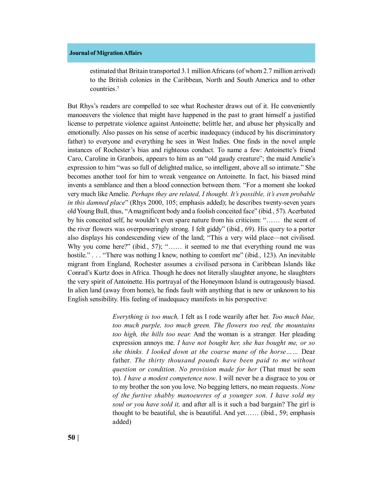estimated that Britain transported 3.1 million Africans (of whom 2.7 million arrived) to the British colonies in the Caribbean, North and South America and to other countries.<sup>5</sup>

But Rhys's readers are compelled to see what Rochester draws out of it. He conveniently manoeuvers the violence that might have happened in the past to grant himself a justified license to perpetrate violence against Antoinette; belittle her, and abuse her physically and emotionally. Also passes on his sense of acerbic inadequacy (induced by his discriminatory father) to everyone and everything he sees in West Indies. One finds in the novel ample instances of Rochester's bias and righteous conduct. To name a few: Antoinette's friend Caro, Caroline in Granbois, appears to him as an "old gaudy creature"; the maid Amelie's expression to him "was so full of delighted malice, so intelligent, above all so intimate." She becomes another tool for him to wreak vengeance on Antoinette. In fact, his biased mind invents a semblance and then a blood connection between them. "For a moment she looked very much like Amelie. *Perhaps they are related, I thought. It's possible, it's even probable in this damned place*" (Rhys 2000, 105; emphasis added); he describes twenty-seven years old Young Bull, thus, "A magnificent body and a foolish conceited face" (ibid*.*, 57). Acerbated by his conceited self, he wouldn't even spare nature from his criticism: "…… the scent of the river flowers was overpoweringly strong. I felt giddy" (ibid*.*, 69). His query to a porter also displays his condescending view of the land; "This a very wild place—not civilised. Why you come here?" (ibid., 57); "...... it seemed to me that everything round me was hostile." . . . "There was nothing I knew, nothing to comfort me" (ibid., 123). An inevitable migrant from England, Rochester assumes a civilised persona in Caribbean Islands like Conrad's Kurtz does in Africa. Though he does not literally slaughter anyone, he slaughters the very spirit of Antoinette. His portrayal of the Honeymoon Island is outrageously biased. In alien land (away from home), he finds fault with anything that is new or unknown to his English sensibility. His feeling of inadequacy manifests in his perspective:

> *Everything is too much,* I felt as I rode wearily after her. *Too much blue, too much purple, too much green. The flowers too red, the mountains too high, the hills too near.* And the woman is a stranger. Her pleading expression annoys me. *I have not bought her, she has bought me, or so she thinks. I looked down at the coarse mane of the horse……* Dear father. *The thirty thousand pounds have been paid to me without question or condition. No provision made for her* (That must be seen to). *I have a modest competence now*. I will never be a disgrace to you or to my brother the son you love. No begging letters, no mean requests. *None of the furtive shabby manoeuvres of a younger son. I have sold my soul or you have sold it,* and after all is it such a bad bargain? The girl is thought to be beautiful, she is beautiful. And yet…… (ibid*.*, 59; emphasis added)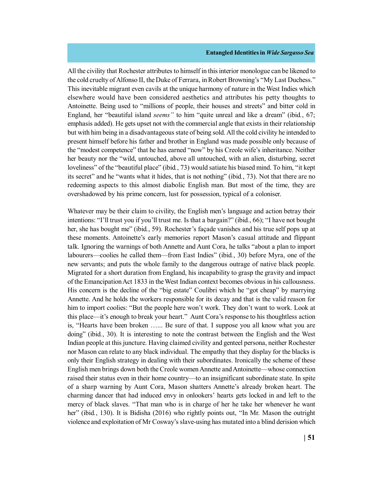All the civility that Rochester attributes to himself in this interior monologue can be likened to the cold cruelty of Alfonso II, the Duke of Ferrara, in Robert Browning's "My Last Duchess." This inevitable migrant even cavils at the unique harmony of nature in the West Indies which elsewhere would have been considered aesthetics and attributes his petty thoughts to Antoinette. Being used to "millions of people, their houses and streets" and bitter cold in England, her "beautiful island *seems"* to him "quite unreal and like a dream" (ibid*.*, 67; emphasis added). He gets upset not with the commercial angle that exists in their relationship but with him being in a disadvantageous state of being sold. All the cold civility he intended to present himself before his father and brother in England was made possible only because of the "modest competence" that he has earned "now" by his Creole wife's inheritance. Neither her beauty nor the "wild, untouched, above all untouched, with an alien, disturbing, secret loveliness" of the "beautiful place" (ibid*.*, 73) would satiate his biased mind. To him, "it kept its secret" and he "wants what it hides, that is not nothing" (ibid*.*, 73). Not that there are no redeeming aspects to this almost diabolic English man. But most of the time, they are overshadowed by his prime concern, lust for possession, typical of a coloniser.

Whatever may be their claim to civility, the English men's language and action betray their intentions: "I'll trust you if you'll trust me. Is that a bargain?" (ibid*.*, 66); "I have not bought her, she has bought me" (ibid*.*, 59). Rochester's façade vanishes and his true self pops up at these moments. Antoinette's early memories report Mason's casual attitude and flippant talk. Ignoring the warnings of both Annette and Aunt Cora, he talks "about a plan to import labourers—coolies he called them––from East Indies" (ibid*.*, 30) before Myra, one of the new servants; and puts the whole family to the dangerous outrage of native black people. Migrated for a short duration from England, his incapability to grasp the gravity and impact of the Emancipation Act 1833 in the West Indian context becomes obvious in his callousness. His concern is the decline of the "big estate" Coulibri which he "got cheap" by marrying Annette. And he holds the workers responsible for its decay and that is the valid reason for him to import coolies: "But the people here won't work. They don't want to work. Look at this place—it's enough to break your heart." Aunt Cora's response to his thoughtless action is, "Hearts have been broken …... Be sure of that. I suppose you all know what you are doing" (ibid*.*, 30). It is interesting to note the contrast between the English and the West Indian people at this juncture. Having claimed civility and genteel persona, neither Rochester nor Mason can relate to any black individual. The empathy that they display for the blacks is only their English strategy in dealing with their subordinates. Ironically the scheme of these English men brings down both the Creole women Annette and Antoinette––whose connection raised their status even in their home country––to an insignificant subordinate state. In spite of a sharp warning by Aunt Cora, Mason shatters Annette's already broken heart. The charming dancer that had induced envy in onlookers' hearts gets locked in and left to the mercy of black slaves. "That man who is in charge of her he take her whenever he want her" (ibid., 130). It is Bidisha (2016) who rightly points out, "In Mr. Mason the outright violence and exploitation of Mr Cosway's slave-using has mutated into a blind derision which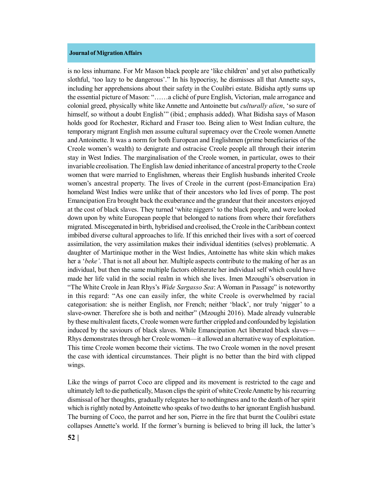is no less inhumane. For Mr Mason black people are 'like children' and yet also pathetically slothful, 'too lazy to be dangerous'." In his hypocrisy, he dismisses all that Annette says, including her apprehensions about their safety in the Coulibri estate. Bidisha aptly sums up the essential picture of Mason: "……a cliché of pure English, Victorian, male arrogance and colonial greed, physically white like Annette and Antoinette but *culturally alien*, 'so sure of himself, so without a doubt English'" (ibid*.*; emphasis added). What Bidisha says of Mason holds good for Rochester, Richard and Fraser too. Being alien to West Indian culture, the temporary migrant English men assume cultural supremacy over the Creole women Annette and Antoinette. It was a norm for both European and Englishmen (prime beneficiaries of the Creole women's wealth) to denigrate and ostracise Creole people all through their interim stay in West Indies. The marginalisation of the Creole women, in particular, owes to their invariable creolisation. The English law denied inheritance of ancestral property to the Creole women that were married to Englishmen, whereas their English husbands inherited Creole women's ancestral property. The lives of Creole in the current (post-Emancipation Era) homeland West Indies were unlike that of their ancestors who led lives of pomp. The post Emancipation Era brought back the exuberance and the grandeur that their ancestors enjoyed at the cost of black slaves. They turned 'white niggers' to the black people, and were looked down upon by white European people that belonged to nations from where their forefathers migrated. Miscegenated in birth, hybridised and creolised, the Creole in the Caribbean context imbibed diverse cultural approaches to life. If this enriched their lives with a sort of coerced assimilation, the very assimilation makes their individual identities (selves) problematic. A daughter of Martinique mother in the West Indies, Antoinette has white skin which makes her a '*beke'*. That is not all about her. Multiple aspects contribute to the making of her as an individual, but then the same multiple factors obliterate her individual self which could have made her life valid in the social realm in which she lives. Imen Mzoughi's observation in "The White Creole in Jean Rhys's *Wide Sargasso Sea*: A Woman in Passage" is noteworthy in this regard: "As one can easily infer, the white Creole is overwhelmed by racial categorisation: she is neither English, nor French; neither 'black', nor truly 'nigger' to a slave-owner. Therefore she is both and neither" (Mzoughi 2016). Made already vulnerable by these multivalent facets, Creole women were further crippled and confounded by legislation induced by the saviours of black slaves. While Emancipation Act liberated black slaves— Rhys demonstrates through her Creole women—it allowed an alternative way of exploitation. This time Creole women become their victims. The two Creole women in the novel present the case with identical circumstances. Their plight is no better than the bird with clipped wings.

Like the wings of parrot Coco are clipped and its movement is restricted to the cage and ultimately left to die pathetically, Mason clips the spirit of white Creole Annette by his recurring dismissal of her thoughts, gradually relegates her to nothingness and to the death of her spirit which is rightly noted by Antoinette who speaks of two deaths to her ignorant English husband. The burning of Coco, the parrot and her son, Pierre in the fire that burnt the Coulibri estate collapses Annette's world. If the former's burning is believed to bring ill luck, the latter's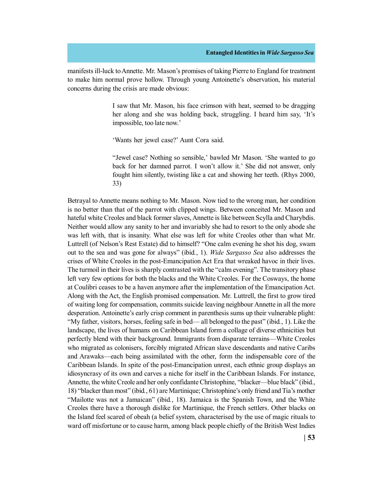manifests ill-luck to Annette. Mr. Mason's promises of taking Pierre to England for treatment to make him normal prove hollow. Through young Antoinette's observation, his material concerns during the crisis are made obvious:

> I saw that Mr. Mason, his face crimson with heat, seemed to be dragging her along and she was holding back, struggling. I heard him say, 'It's impossible, too late now.'

'Wants her jewel case?' Aunt Cora said.

"Jewel case? Nothing so sensible,' bawled Mr Mason. 'She wanted to go back for her damned parrot. I won't allow it.' She did not answer, only fought him silently, twisting like a cat and showing her teeth. (Rhys 2000, 33)

Betrayal to Annette means nothing to Mr. Mason. Now tied to the wrong man, her condition is no better than that of the parrot with clipped wings. Between conceited Mr. Mason and hateful white Creoles and black former slaves, Annette is like between Scylla and Charybdis. Neither would allow any sanity to her and invariably she had to resort to the only abode she was left with, that is insanity. What else was left for white Creoles other than what Mr. Luttrell (of Nelson's Rest Estate) did to himself? "One calm evening he shot his dog, swam out to the sea and was gone for always" (ibid*.*, 1). *Wide Sargasso Sea* also addresses the crises of White Creoles in the post-Emancipation Act Era that wreaked havoc in their lives. The turmoil in their lives is sharply contrasted with the "calm evening". The transitory phase left very few options for both the blacks and the White Creoles. For the Cosways, the home at Coulibri ceases to be a haven anymore after the implementation of the Emancipation Act. Along with the Act, the English promised compensation. Mr. Luttrell, the first to grow tired of waiting long for compensation, commits suicide leaving neighbour Annette in all the more desperation. Antoinette's early crisp comment in parenthesis sums up their vulnerable plight: "My father, visitors, horses, feeling safe in bed— all belonged to the past" (ibid*.*, 1). Like the landscape, the lives of humans on Caribbean Island form a collage of diverse ethnicities but perfectly blend with their background. Immigrants from disparate terrains—White Creoles who migrated as colonisers, forcibly migrated African slave descendants and native Caribs and Arawaks—each being assimilated with the other, form the indispensable core of the Caribbean Islands. In spite of the post-Emancipation unrest, each ethnic group displays an idiosyncrasy of its own and carves a niche for itself in the Caribbean Islands. For instance, Annette, the white Creole and her only confidante Christophine, "blacker—blue black" (ibid*.*, 18) "blacker than most" (ibid*.*, 61) are Martinique; Christophine's only friend and Tia's mother "Mailotte was not a Jamaican" (ibid*.*, 18). Jamaica is the Spanish Town, and the White Creoles there have a thorough dislike for Martinique, the French settlers. Other blacks on the Island feel scared of obeah (a belief system, characterised by the use of magic rituals to ward off misfortune or to cause harm, among black people chiefly of the British West Indies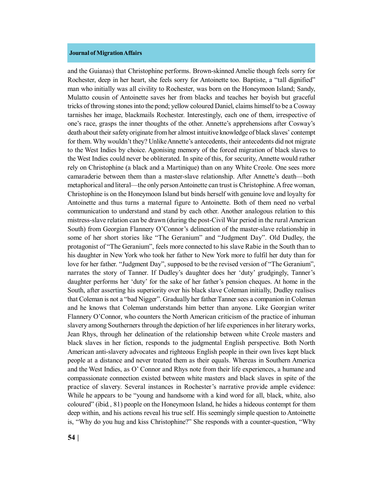and the Guianas) that Christophine performs. Brown-skinned Amelie though feels sorry for Rochester, deep in her heart, she feels sorry for Antoinette too. Baptiste, a "tall dignified" man who initially was all civility to Rochester, was born on the Honeymoon Island; Sandy, Mulatto cousin of Antoinette saves her from blacks and teaches her boyish but graceful tricks of throwing stones into the pond; yellow coloured Daniel, claims himself to be a Cosway tarnishes her image, blackmails Rochester. Interestingly, each one of them, irrespective of one's race, grasps the inner thoughts of the other. Annette's apprehensions after Cosway's death about their safety originate from her almost intuitive knowledge of black slaves' contempt for them. Why wouldn't they? Unlike Annette's antecedents, their antecedents did not migrate to the West Indies by choice. Agonising memory of the forced migration of black slaves to the West Indies could never be obliterated. In spite of this, for security, Annette would rather rely on Christophine (a black and a Martinique) than on any White Creole. One sees more camaraderie between them than a master-slave relationship. After Annette's death—both metaphorical and literal—the only person Antoinette can trust is Christophine. A free woman, Christophine is on the Honeymoon Island but binds herself with genuine love and loyalty for Antoinette and thus turns a maternal figure to Antoinette. Both of them need no verbal communication to understand and stand by each other. Another analogous relation to this mistress-slave relation can be drawn (during the post-Civil War period in the rural American South) from Georgian Flannery O'Connor's delineation of the master-slave relationship in some of her short stories like "The Geranium" and "Judgment Day". Old Dudley, the protagonist of "The Geranium", feels more connected to his slave Rabie in the South than to his daughter in New York who took her father to New York more to fulfil her duty than for love for her father. "Judgment Day", supposed to be the revised version of "The Geranium", narrates the story of Tanner. If Dudley's daughter does her 'duty' grudgingly, Tanner's daughter performs her 'duty' for the sake of her father's pension cheques. At home in the South, after asserting his superiority over his black slave Coleman initially, Dudley realises that Coleman is not a "bad Nigger". Gradually her father Tanner sees a companion in Coleman and he knows that Coleman understands him better than anyone. Like Georgian writer Flannery O'Connor, who counters the North American criticism of the practice of inhuman slavery among Southerners through the depiction of her life experiences in her literary works, Jean Rhys, through her delineation of the relationship between white Creole masters and black slaves in her fiction, responds to the judgmental English perspective. Both North American anti-slavery advocates and righteous English people in their own lives kept black people at a distance and never treated them as their equals. Whereas in Southern America and the West Indies, as O' Connor and Rhys note from their life experiences, a humane and compassionate connection existed between white masters and black slaves in spite of the practice of slavery. Several instances in Rochester's narrative provide ample evidence: While he appears to be "young and handsome with a kind word for all, black, white, also coloured" (ibid*.*, 81) people on the Honeymoon Island, he hides a hideous contempt for them deep within, and his actions reveal his true self. His seemingly simple question to Antoinette is, "Why do you hug and kiss Christophine?" She responds with a counter-question, "Why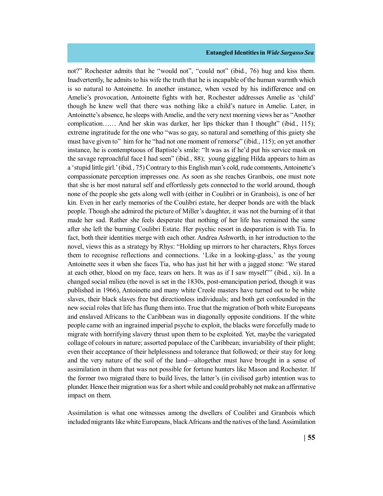not?" Rochester admits that he "would not", "could not" (ibid*.*, 76) hug and kiss them. Inadvertently, he admits to his wife the truth that he is incapable of the human warmth which is so natural to Antoinette. In another instance, when vexed by his indifference and on Amelie's provocation, Antoinette fights with her, Rochester addresses Amelie as 'child' though he knew well that there was nothing like a child's nature in Amelie. Later, in Antoinette's absence, he sleeps with Amelie, and the very next morning views her as "Another complication…… And her skin was darker, her lips thicker than I thought" (ibid*.*, 115); extreme ingratitude for the one who "was so gay, so natural and something of this gaiety she must have given to" him for he "had not one moment of remorse" (ibid., 115); on yet another instance, he is contemptuous of Baptiste's smile: "It was as if he'd put his service mask on the savage reproachful face I had seen" (ibid*.*, 88); young giggling Hilda appears to him as a 'stupid little girl.' (ibid*.*, 75) Contrary to this English man's cold, rude comments, Antoinette's compassionate perception impresses one. As soon as she reaches Granbois, one must note that she is her most natural self and effortlessly gets connected to the world around, though none of the people she gets along well with (either in Coulibri or in Granbois), is one of her kin. Even in her early memories of the Coulibri estate, her deeper bonds are with the black people. Though she admired the picture of Miller's daughter, it was not the burning of it that made her sad. Rather she feels desperate that nothing of her life has remained the same after she left the burning Coulibri Estate. Her psychic resort in desperation is with Tia. In fact, both their identities merge with each other. Andrea Ashworth, in her introduction to the novel, views this as a strategy by Rhys: "Holding up mirrors to her characters, Rhys forces them to recognise reflections and connections. 'Like in a looking-glass,' as the young Antoinette sees it when she faces Tia, who has just hit her with a jagged stone: 'We stared at each other, blood on my face, tears on hers. It was as if I saw myself'" (ibid*.*, xi). In a changed social milieu (the novel is set in the 1830s, post-emancipation period, though it was published in 1966), Antoinette and many white Creole masters have turned out to be white slaves, their black slaves free but directionless individuals; and both get confounded in the new social roles that life has flung them into. True that the migration of both white Europeans and enslaved Africans to the Caribbean was in diagonally opposite conditions. If the white people came with an ingrained imperial psyche to exploit, the blacks were forcefully made to migrate with horrifying slavery thrust upon them to be exploited. Yet, maybe the variegated collage of colours in nature; assorted populace of the Caribbean; invariability of their plight; even their acceptance of their helplessness and tolerance that followed; or their stay for long and the very nature of the soil of the land—altogether must have brought in a sense of assimilation in them that was not possible for fortune hunters like Mason and Rochester. If the former two migrated there to build lives, the latter's (in civilised garb) intention was to plunder. Hence their migration was for a short while and could probably not make an affirmative impact on them.

Assimilation is what one witnesses among the dwellers of Coulibri and Granbois which included migrants like white Europeans, black Africans and the natives of the land. Assimilation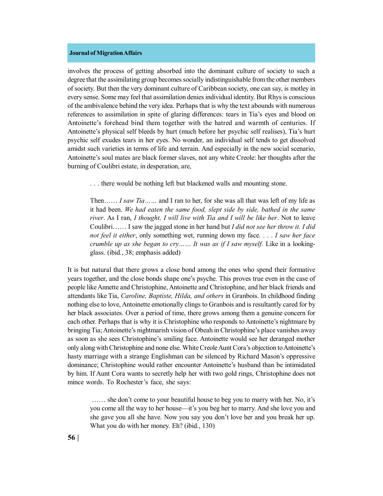involves the process of getting absorbed into the dominant culture of society to such a degree that the assimilating group becomes socially indistinguishable from the other members of society. But then the very dominant culture of Caribbean society, one can say, is motley in every sense. Some may feel that assimilation denies individual identity. But Rhys is conscious of the ambivalence behind the very idea. Perhaps that is why the text abounds with numerous references to assimilation in spite of glaring differences: tears in Tia's eyes and blood on Antoinette's forehead bind them together with the hatred and warmth of centuries. If Antoinette's physical self bleeds by hurt (much before her psychic self realises), Tia's hurt psychic self exudes tears in her eyes. No wonder, an individual self tends to get dissolved amidst such varieties in terms of life and terrain. And especially in the new social scenario, Antoinette's soul mates are black former slaves, not any white Creole: her thoughts after the burning of Coulibri estate, in desperation, are,

. . . there would be nothing left but blackened walls and mounting stone.

Then…… *I saw Tia……* and I ran to her, for she was all that was left of my life as it had been. *We had eaten the same food, slept side by side, bathed in the same river*. As I ran, *I thought, I will live with Tia and I will be like her*. Not to leave Coulibri…… I saw the jagged stone in her hand but *I did not see her throw it. I did not feel it either*, only something wet, running down my face. . . . *I saw her face crumble up as she began to cry…… It was as if I saw myself.* Like in a lookingglass. (ibid*.*, 38; emphasis added)

It is but natural that there grows a close bond among the ones who spend their formative years together, and the close bonds shape one's psyche. This proves true even in the case of people like Annette and Christophine, Antoinette and Christophine, and her black friends and attendants like Tia, *Caroline, Baptiste, Hilda, and others* in Granbois. In childhood finding nothing else to love, Antoinette emotionally clings to Granbois and is resultantly cared for by her black associates. Over a period of time, there grows among them a genuine concern for each other. Perhaps that is why it is Christophine who responds to Antoinette's nightmare by bringing Tia; Antoinette's nightmarish vision of Obeah in Christophine's place vanishes away as soon as she sees Christophine's smiling face. Antoinette would see her deranged mother only along with Christophine and none else. White Creole Aunt Cora's objection to Antoinette's hasty marriage with a strange Englishman can be silenced by Richard Mason's oppressive dominance; Christophine would rather encounter Antoinette's husband than be intimidated by him. If Aunt Cora wants to secretly help her with two gold rings, Christophine does not mince words. To Rochester's face, she says:

 …… she don't come to your beautiful house to beg you to marry with her. No, it's you come all the way to her house—it's you beg her to marry. And she love you and she gave you all she have. Now you say you don't love her and you break her up. What you do with her money. Eh? (ibid*.*, 130)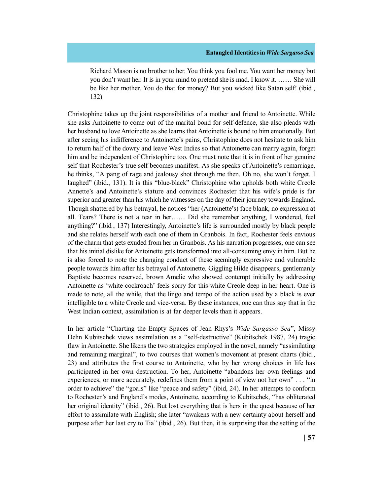Richard Mason is no brother to her. You think you fool me. You want her money but you don't want her. It is in your mind to pretend she is mad. I know it. …… She will be like her mother. You do that for money? But you wicked like Satan self! (ibid*.*, 132)

Christophine takes up the joint responsibilities of a mother and friend to Antoinette. While she asks Antoinette to come out of the marital bond for self-defence, she also pleads with her husband to love Antoinette as she learns that Antoinette is bound to him emotionally. But after seeing his indifference to Antoinette's pains, Christophine does not hesitate to ask him to return half of the dowry and leave West Indies so that Antoinette can marry again, forget him and be independent of Christophine too. One must note that it is in front of her genuine self that Rochester's true self becomes manifest. As she speaks of Antoinette's remarriage, he thinks, "A pang of rage and jealousy shot through me then. Oh no, she won't forget. I laughed" (ibid., 131). It is this "blue-black" Christophine who upholds both white Creole Annette's and Antoinette's stature and convinces Rochester that his wife's pride is far superior and greater than his which he witnesses on the day of their journey towards England. Though shattered by his betrayal, he notices "her (Antoinette's) face blank, no expression at all. Tears? There is not a tear in her…… Did she remember anything, I wondered, feel anything?" (ibid*.*, 137) Interestingly, Antoinette's life is surrounded mostly by black people and she relates herself with each one of them in Granbois. In fact, Rochester feels envious of the charm that gets exuded from her in Granbois. As his narration progresses, one can see that his initial dislike for Antoinette gets transformed into all-consuming envy in him. But he is also forced to note the changing conduct of these seemingly expressive and vulnerable people towards him after his betrayal of Antoinette. Giggling Hilde disappears, gentlemanly Baptiste becomes reserved, brown Amelie who showed contempt initially by addressing Antoinette as 'white cockroach' feels sorry for this white Creole deep in her heart. One is made to note, all the while, that the lingo and tempo of the action used by a black is ever intelligible to a white Creole and vice-versa. By these instances, one can thus say that in the West Indian context, assimilation is at far deeper levels than it appears.

In her article "Charting the Empty Spaces of Jean Rhys's *Wide Sargasso Sea*", Missy Dehn Kubitschek views assimilation as a "self-destructive" (Kubitschek 1987, 24) tragic flaw in Antoinette. She likens the two strategies employed in the novel, namely "assimilating and remaining marginal", to two courses that women's movement at present charts (ibid*.*, 23) and attributes the first course to Antoinette, who by her wrong choices in life has participated in her own destruction. To her, Antoinette "abandons her own feelings and experiences, or more accurately, redefines them from a point of view not her own" . . . "in order to achieve" the "goals" like "peace and safety" (ibid, 24). In her attempts to conform to Rochester's and England's modes, Antoinette, according to Kubitschek, "has obliterated her original identity" (ibid*.*, 26). But lost everything that is hers in the quest because of her effort to assimilate with English; she later "awakens with a new certainty about herself and purpose after her last cry to Tia" (ibid*.*, 26). But then, it is surprising that the setting of the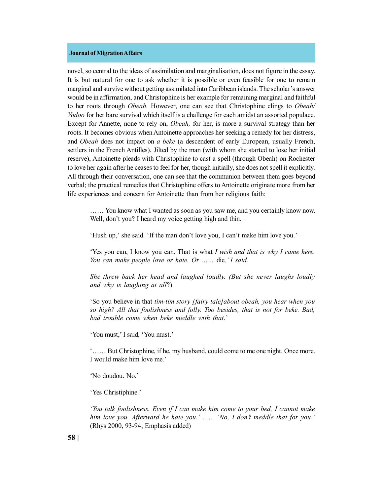novel, so central to the ideas of assimilation and marginalisation, does not figure in the essay. It is but natural for one to ask whether it is possible or even feasible for one to remain marginal and survive without getting assimilated into Caribbean islands. The scholar's answer would be in affirmation, and Christophine is her example for remaining marginal and faithful to her roots through *Obeah.* However, one can see that Christophine clings to *Obeah/ Vodoo* for her bare survival which itself is a challenge for each amidst an assorted populace. Except for Annette, none to rely on, *Obeah,* for her, is more a survival strategy than her roots. It becomes obvious when Antoinette approaches her seeking a remedy for her distress, and *Obeah* does not impact on *a beke* (a descendent of early European, usually French, settlers in the French Antilles). Jilted by the man (with whom she started to lose her initial reserve), Antoinette pleads with Christophine to cast a spell (through Obeah) on Rochester to love her again after he ceases to feel for her, though initially, she does not spell it explicitly. All through their conversation, one can see that the communion between them goes beyond verbal; the practical remedies that Christophine offers to Antoinette originate more from her life experiences and concern for Antoinette than from her religious faith:

…… You know what I wanted as soon as you saw me, and you certainly know now. Well, don't you? I heard my voice getting high and thin.

'Hush up,' she said. 'If the man don't love you, I can't make him love you.'

'Yes you can, I know you can. That is what *I wish and that is why I came here. You can make people love or hate. Or ……* die*,' I said.*

*She threw back her head and laughed loudly. (But she never laughs loudly and why is laughing at all*?)

'So you believe in that *tim-tim story [fairy tale]about obeah, you hear when you so high? All that foolishness and folly. Too besides, that is not for beke. Bad, bad trouble come when beke meddle with that*.'

'You must,' I said, 'You must.'

'…… But Christophine, if he, my husband, could come to me one night. Once more. I would make him love me.'

'No doudou. No.'

'Yes Christiphine.'

*'You talk foolishness. Even if I can make him come to your bed, I cannot make him love you. Afterward he hate you.' …… 'No, I don't meddle that for you*.' (Rhys 2000, 93-94; Emphasis added)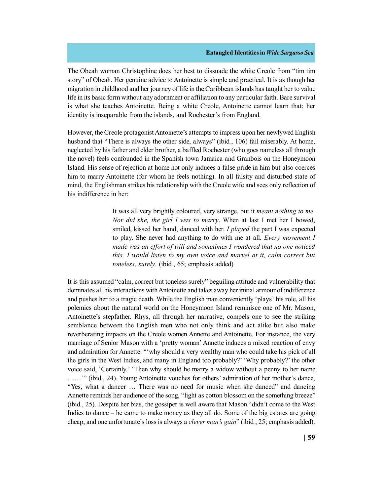The Obeah woman Christophine does her best to dissuade the white Creole from "tim tim story" of Obeah. Her genuine advice to Antoinette is simple and practical. It is as though her migration in childhood and her journey of life in the Caribbean islands has taught her to value life in its basic form without any adornment or affiliation to any particular faith. Bare survival is what she teaches Antoinette. Being a white Creole, Antoinette cannot learn that; her identity is inseparable from the islands, and Rochester's from England.

However, the Creole protagonist Antoinette's attempts to impress upon her newlywed English husband that "There is always the other side, always" (ibid*.*, 106) fail miserably. At home, neglected by his father and elder brother, a baffled Rochester (who goes nameless all through the novel) feels confounded in the Spanish town Jamaica and Granbois on the Honeymoon Island. His sense of rejection at home not only induces a false pride in him but also coerces him to marry Antoinette (for whom he feels nothing). In all falsity and disturbed state of mind, the Englishman strikes his relationship with the Creole wife and sees only reflection of his indifference in her:

> It was all very brightly coloured, very strange, but it *meant nothing to me. Nor did she, the girl I was to marry*. When at last I met her I bowed, smiled, kissed her hand, danced with her. *I played* the part I was expected to play. She never had anything to do with me at all. *Every movement I made was an effort of will and sometimes I wondered that no one noticed this. I would listen to my own voice and marvel at it, calm correct but toneless, surely*. (ibid*.*, 65; emphasis added)

It is this assumed "calm, correct but toneless surely" beguiling attitude and vulnerability that dominates all his interactions with Antoinette and takes away her initial armour of indifference and pushes her to a tragic death. While the English man conveniently 'plays' his role, all his polemics about the natural world on the Honeymoon Island reminisce one of Mr. Mason, Antoinette's stepfather. Rhys, all through her narrative, compels one to see the striking semblance between the English men who not only think and act alike but also make reverberating impacts on the Creole women Annette and Antoinette. For instance, the very marriage of Senior Mason with a 'pretty woman' Annette induces a mixed reaction of envy and admiration for Annette: "'why should a very wealthy man who could take his pick of all the girls in the West Indies, and many in England too probably?' 'Why probably?' the other voice said, 'Certainly.' 'Then why should he marry a widow without a penny to her name ……'" (ibid*.*, 24). Young Antoinette vouches for others' admiration of her mother's dance, "Yes, what a dancer … There was no need for music when she danced" and dancing Annette reminds her audience of the song, "light as cotton blossom on the something breeze" (ibid*.*, 25). Despite her bias, the gossiper is well aware that Mason "didn't come to the West Indies to dance – he came to make money as they all do. Some of the big estates are going cheap, and one unfortunate's loss is always a *clever man's gain*" (ibid*.*, 25; emphasis added).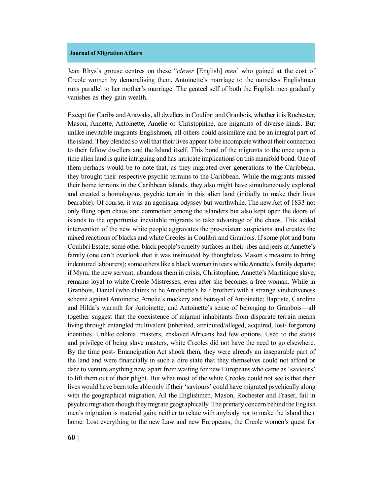Jean Rhys's grouse centres on these "*clever* [English] *men*' who gained at the cost of Creole women by demoralising them. Antoinette's marriage to the nameless Englishman runs parallel to her mother's marriage. The genteel self of both the English men gradually vanishes as they gain wealth.

Except for Caribs and Arawaks, all dwellers in Coulibri and Granbois, whether it is Rochester, Mason, Annette, Antoinette, Amelie or Christophine, are migrants of diverse kinds. But unlike inevitable migrants Englishmen, all others could assimilate and be an integral part of the island. They blended so well that their lives appear to be incomplete without their connection to their fellow dwellers and the Island itself. This bond of the migrants to the once upon a time alien land is quite intriguing and has intricate implications on this manifold bond. One of them perhaps would be to note that, as they migrated over generations to the Caribbean, they brought their respective psychic terrains to the Caribbean. While the migrants missed their home terrains in the Caribbean islands, they also might have simultaneously explored and created a homologous psychic terrain in this alien land (initially to make their lives bearable). Of course, it was an agonising odyssey but worthwhile. The new Act of 1833 not only flung open chaos and commotion among the islanders but also kept open the doors of islands to the opportunist inevitable migrants to take advantage of the chaos. This added intervention of the new white people aggravates the pre-existent suspicions and creates the mixed reactions of blacks and white Creoles in Coulibri and Granbois. If some plot and burn Coulibri Estate; some other black people's cruelty surfaces in their jibes and jeers at Annette's family (one can't overlook that it was insinuated by thoughtless Mason's measure to bring indentured labourers); some others like a black woman in tears while Annette's family departs; if Myra, the new servant, abandons them in crisis, Christophine, Annette's Martinique slave, remains loyal to white Creole Mistresses, even after she becomes a free woman. While in Granbois, Daniel (who claims to be Antoinette's half brother) with a strange vindictiveness scheme against Antoinette; Amelie's mockery and betrayal of Antoinette; Baptiste, Caroline and Hilda's warmth for Antoinette; and Antoinette's sense of belonging to Granbois—all together suggest that the coexistence of migrant inhabitants from disparate terrain means living through entangled multivalent (inherited, attributed/alleged, acquired, lost/ forgotten) identities. Unlike colonial masters, enslaved Africans had few options. Used to the status and privilege of being slave masters, white Creoles did not have the need to go elsewhere. By the time post- Emancipation Act shook them, they were already an inseparable part of the land and were financially in such a dire state that they themselves could not afford or dare to venture anything new, apart from waiting for new Europeans who came as 'saviours' to lift them out of their plight. But what most of the white Creoles could not see is that their lives would have been tolerable only if their 'saviours' could have migrated psychically along with the geographical migration. All the Englishmen, Mason, Rochester and Fraser, fail in psychic migration though they migrate geographically. The primary concern behind the English men's migration is material gain; neither to relate with anybody nor to make the island their home. Lost everything to the new Law and new Europeans, the Creole women's quest for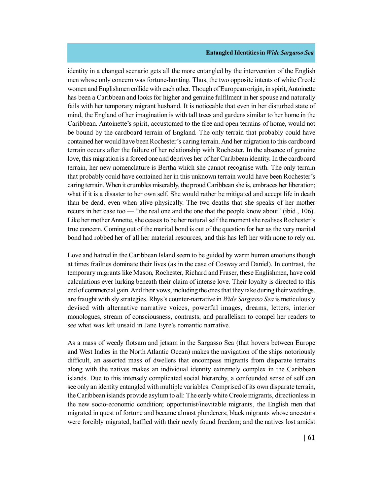identity in a changed scenario gets all the more entangled by the intervention of the English men whose only concern was fortune-hunting. Thus, the two opposite intents of white Creole women and Englishmen collide with each other. Though of European origin, in spirit, Antoinette has been a Caribbean and looks for higher and genuine fulfilment in her spouse and naturally fails with her temporary migrant husband. It is noticeable that even in her disturbed state of mind, the England of her imagination is with tall trees and gardens similar to her home in the Caribbean. Antoinette's spirit, accustomed to the free and open terrains of home, would not be bound by the cardboard terrain of England. The only terrain that probably could have contained her would have been Rochester's caring terrain. And her migration to this cardboard terrain occurs after the failure of her relationship with Rochester. In the absence of genuine love, this migration is a forced one and deprives her of her Caribbean identity. In the cardboard terrain, her new nomenclature is Bertha which she cannot recognise with. The only terrain that probably could have contained her in this unknown terrain would have been Rochester's caring terrain. When it crumbles miserably, the proud Caribbean she is, embraces her liberation; what if it is a disaster to her own self. She would rather be mitigated and accept life in death than be dead, even when alive physically. The two deaths that she speaks of her mother recurs in her case too — "the real one and the one that the people know about" (ibid*.*, 106). Like her mother Annette, she ceases to be her natural self the moment she realises Rochester's true concern. Coming out of the marital bond is out of the question for her as the very marital bond had robbed her of all her material resources, and this has left her with none to rely on.

Love and hatred in the Caribbean Island seem to be guided by warm human emotions though at times frailties dominate their lives (as in the case of Cosway and Daniel). In contrast, the temporary migrants like Mason, Rochester, Richard and Fraser, these Englishmen, have cold calculations ever lurking beneath their claim of intense love. Their loyalty is directed to this end of commercial gain. And their vows, including the ones that they take during their weddings, are fraught with sly strategies. Rhys's counter-narrative in *Wide Sargasso Sea* is meticulously devised with alternative narrative voices, powerful images, dreams, letters, interior monologues, stream of consciousness, contrasts, and parallelism to compel her readers to see what was left unsaid in Jane Eyre's romantic narrative.

As a mass of weedy flotsam and jetsam in the Sargasso Sea (that hovers between Europe and West Indies in the North Atlantic Ocean) makes the navigation of the ships notoriously difficult, an assorted mass of dwellers that encompass migrants from disparate terrains along with the natives makes an individual identity extremely complex in the Caribbean islands. Due to this intensely complicated social hierarchy, a confounded sense of self can see only an identity entangled with multiple variables. Comprised of its own disparate terrain, the Caribbean islands provide asylum to all: The early white Creole migrants, directionless in the new socio-economic condition; opportunist/inevitable migrants, the English men that migrated in quest of fortune and became almost plunderers; black migrants whose ancestors were forcibly migrated, baffled with their newly found freedom; and the natives lost amidst